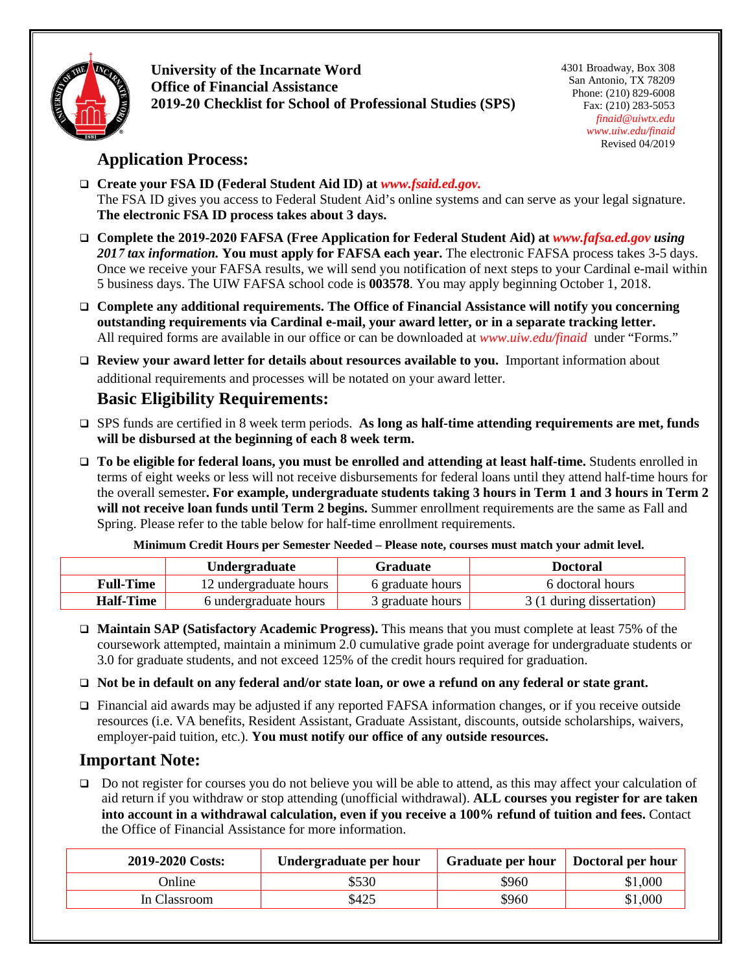

**University of the Incarnate Word Office of Financial Assistance 2019-20 Checklist for School of Professional Studies (SPS)**  4301 Broadway, Box 308 San Antonio, TX 78209 Phone: (210) 829-6008 Fax: (210) 283-5053 *[finaid@uiwtx.edu](mailto:finaid@uiwtx.edu) [www.uiw.edu/finaid](http://www.uiw.edu/finaid)*  Revised 04/2019

## **Application Process:**

 **Create your FSA ID (Federal Student Aid ID) at** *www.fsaid.ed.gov.* The FSA ID gives you access to Federal Student Aid's online systems and can serve as your legal signature. **The electronic FSA ID process takes about 3 days.**

- **Complete the 2019-2020 FAFSA (Free Application for Federal Student Aid) at** *[www.fafsa.ed.gov](http://www.fafsa.ed.gov/) using 2017 tax information.* **You must apply for FAFSA each year.** The electronic FAFSA process takes 3-5 days. Once we receive your FAFSA results, we will send you notification of next steps to your Cardinal e-mail within 5 business days. The UIW FAFSA school code is **003578**. You may apply beginning October 1, 2018.
- **Complete any additional requirements. The Office of Financial Assistance will notify you concerning outstanding requirements via Cardinal e-mail, your award letter, or in a separate tracking letter.** All required forms are available in our office or can be downloaded at *[www.uiw.edu/finaid](http://www.uiw.edu/finaid)* under "Forms."

 **Review your award letter for details about resources available to you.** Important information about additional requirements and processes will be notated on your award letter.

# **Basic Eligibility Requirements:**

- SPS funds are certified in 8 week term periods. **As long as half-time attending requirements are met, funds will be disbursed at the beginning of each 8 week term.**
- **To be eligible for federal loans, you must be enrolled and attending at least half-time.** Students enrolled in terms of eight weeks or less will not receive disbursements for federal loans until they attend half-time hours for the overall semester**. For example, undergraduate students taking 3 hours in Term 1 and 3 hours in Term 2 will not receive loan funds until Term 2 begins.** Summer enrollment requirements are the same as Fall and Spring. Please refer to the table below for half-time enrollment requirements.

**Minimum Credit Hours per Semester Needed – Please note, courses must match your admit level.**

|                  | Undergraduate          | <b>Graduate</b>  | <b>Doctoral</b>           |
|------------------|------------------------|------------------|---------------------------|
| <b>Full-Time</b> | 12 undergraduate hours | 6 graduate hours | 6 doctoral hours          |
| <b>Half-Time</b> | 6 undergraduate hours  | 3 graduate hours | 3 (1 during dissertation) |

- **Maintain SAP (Satisfactory Academic Progress).** This means that you must complete at least 75% of the coursework attempted, maintain a minimum 2.0 cumulative grade point average for undergraduate students or 3.0 for graduate students, and not exceed 125% of the credit hours required for graduation.
- **Not be in default on any federal and/or state loan, or owe a refund on any federal or state grant.**
- Financial aid awards may be adjusted if any reported FAFSA information changes, or if you receive outside resources (i.e. VA benefits, Resident Assistant, Graduate Assistant, discounts, outside scholarships, waivers, employer-paid tuition, etc.). **You must notify our office of any outside resources.**

## **Important Note:**

 Do not register for courses you do not believe you will be able to attend, as this may affect your calculation of aid return if you withdraw or stop attending (unofficial withdrawal). **ALL courses you register for are taken into account in a withdrawal calculation, even if you receive a 100% refund of tuition and fees.** Contact the Office of Financial Assistance for more information.

| 2019-2020 Costs: | Undergraduate per hour | Graduate per hour   Doctoral per hour |         |
|------------------|------------------------|---------------------------------------|---------|
| Online           | \$530                  | \$960                                 | \$1,000 |
| In Classroom     | \$425                  | \$960                                 | \$1,000 |